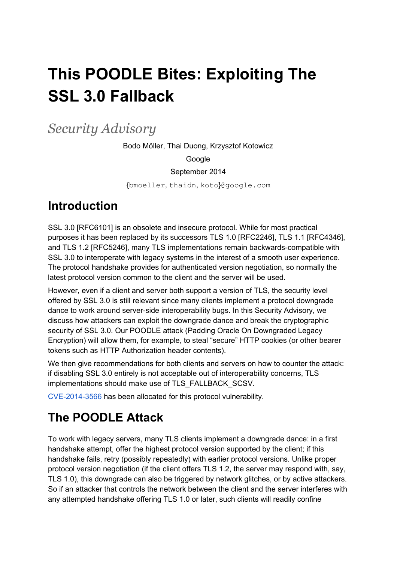# **This POODLE Bites: Exploiting The SSL 3.0 Fallback**

*Security Advisory*

Bodo Möller, Thai Duong, Krzysztof Kotowicz

Google

September 2014

{bmoeller, thaidn, koto}@google.com

### **Introduction**

SSL 3.0 [RFC6101] is an obsolete and insecure protocol. While for most practical purposes it has been replaced by its successors TLS 1.0 [RFC2246], TLS 1.1 [RFC4346], and TLS 1.2 [RFC5246], many TLS implementations remain backwards-compatible with SSL 3.0 to interoperate with legacy systems in the interest of a smooth user experience. The protocol handshake provides for authenticated version negotiation, so normally the latest protocol version common to the client and the server will be used.

However, even if a client and server both support a version of TLS, the security level offered by SSL 3.0 is still relevant since many clients implement a protocol downgrade dance to work around server-side interoperability bugs. In this Security Advisory, we discuss how attackers can exploit the downgrade dance and break the cryptographic security of SSL 3.0. Our POODLE attack (Padding Oracle On Downgraded Legacy Encryption) will allow them, for example, to steal "secure" HTTP cookies (or other bearer tokens such as HTTP Authorization header contents).

We then give recommendations for both clients and servers on how to counter the attack: if disabling SSL 3.0 entirely is not acceptable out of interoperability concerns, TLS implementations should make use of TLS\_FALLBACK\_SCSV.

CVE-2014-3566 has been allocated for this protocol vulnerability.

# **The POODLE Attack**

To work with legacy servers, many TLS clients implement a downgrade dance: in a first handshake attempt, offer the highest protocol version supported by the client; if this handshake fails, retry (possibly repeatedly) with earlier protocol versions. Unlike proper protocol version negotiation (if the client offers TLS 1.2, the server may respond with, say, TLS 1.0), this downgrade can also be triggered by network glitches, or by active attackers. So if an attacker that controls the network between the client and the server interferes with any attempted handshake offering TLS 1.0 or later, such clients will readily confine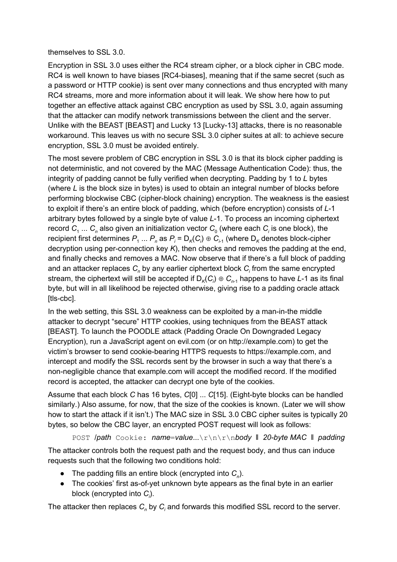#### themselves to SSL 3.0.

Encryption in SSL 3.0 uses either the RC4 stream cipher, or a block cipher in CBC mode. RC4 is well known to have biases [RC4-biases], meaning that if the same secret (such as a password or HTTP cookie) is sent over many connections and thus encrypted with many RC4 streams, more and more information about it will leak. We show here how to put together an effective attack against CBC encryption as used by SSL 3.0, again assuming that the attacker can modify network transmissions between the client and the server. Unlike with the BEAST [BEAST] and Lucky 13 [Lucky-13] attacks, there is no reasonable workaround. This leaves us with no secure SSL 3.0 cipher suites at all: to achieve secure encryption, SSL 3.0 must be avoided entirely.

The most severe problem of CBC encryption in SSL 3.0 is that its block cipher padding is not deterministic, and not covered by the MAC (Message Authentication Code): thus, the integrity of padding cannot be fully verified when decrypting. Padding by 1 to *L* bytes (where *L* is the block size in bytes) is used to obtain an integral number of blocks before performing blockwise CBC (cipher-block chaining) encryption. The weakness is the easiest to exploit if there's an entire block of padding, which (before encryption) consists of *L*1 arbitrary bytes followed by a single byte of value *L*1. To process an incoming ciphertext record  $C_1 \ldots C_n$  also given an initialization vector  $C_0$  (where each  $C_i$  is one block), the recipient first determines  $P_1 ... P_n$  as  $P_i$  =  $\mathsf{D}_\kappa(C_i) \oplus C_{i-1}$  (where  $\mathsf{D}_\kappa$  denotes block-cipher decryption using per-connection key *K*), then checks and removes the padding at the end, and finally checks and removes a MAC. Now observe that if there's a full block of padding and an attacker replaces *C<sup>n</sup>* by any earlier ciphertext block *C<sup>i</sup>* from the same encrypted stream, the ciphertext will still be accepted if  $\mathsf{D}_\kappa(C_\iota)\oplus\mathsf{C}_{n\text{-}1}$  happens to have *L*-1 as its final byte, but will in all likelihood be rejected otherwise, giving rise to a padding oracle attack [tls-cbc].

In the web setting, this SSL 3.0 weakness can be exploited by a man-in-the middle attacker to decrypt "secure" HTTP cookies, using techniques from the BEAST attack [BEAST]. To launch the POODLE attack (Padding Oracle On Downgraded Legacy Encryption), run a JavaScript agent on evil.com (or on http://example.com) to get the victim's browser to send cookie-bearing HTTPS requests to https://example.com, and intercept and modify the SSL records sent by the browser in such a way that there's a non-negligible chance that example.com will accept the modified record. If the modified record is accepted, the attacker can decrypt one byte of the cookies.

Assume that each block *C* has 16 bytes, *C*[0] ... *C*[15]. (Eight-byte blocks can be handled similarly.) Also assume, for now, that the size of the cookies is known. (Later we will show how to start the attack if it isn't.) The MAC size in SSL 3.0 CBC cipher suites is typically 20 bytes, so below the CBC layer, an encrypted POST request will look as follows:

POST /*path* Cookie: *name*=*value*...\r\n\r\n*body* ‖ *20byte MAC* ‖ *padding*

The attacker controls both the request path and the request body, and thus can induce requests such that the following two conditions hold:

- The padding fills an entire block (encrypted into *C<sup>n</sup>* ).
- The cookies' first as-of-yet unknown byte appears as the final byte in an earlier block (encrypted into *C<sup>i</sup>* ).

The attacker then replaces *C<sup>n</sup>* by *C<sup>i</sup>* and forwards this modified SSL record to the server.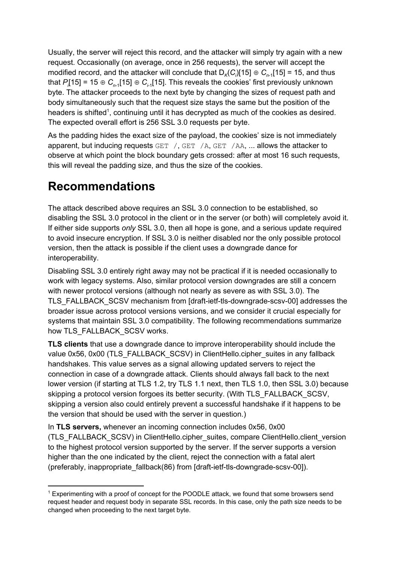Usually, the server will reject this record, and the attacker will simply try again with a new request. Occasionally (on average, once in 256 requests), the server will accept the modified record, and the attacker will conclude that  $D_K(C_i)[15] \oplus C_{n-1}[15] = 15$ , and thus that  $P$ [15] = 15 ⊕  $C_{n-1}$ [15] ⊕  $C_{n-1}$ [15]. This reveals the cookies' first previously unknown byte. The attacker proceeds to the next byte by changing the sizes of request path and body simultaneously such that the request size stays the same but the position of the headers is shifted<sup>1</sup>, continuing until it has decrypted as much of the cookies as desired. The expected overall effort is 256 SSL 3.0 requests per byte.

As the padding hides the exact size of the payload, the cookies' size is not immediately apparent, but inducing requests GET /, GET /A, GET /AA, ... allows the attacker to observe at which point the block boundary gets crossed: after at most 16 such requests, this will reveal the padding size, and thus the size of the cookies.

# **Recommendations**

The attack described above requires an SSL 3.0 connection to be established, so disabling the SSL 3.0 protocol in the client or in the server (or both) will completely avoid it. If either side supports *only* SSL 3.0, then all hope is gone, and a serious update required to avoid insecure encryption. If SSL 3.0 is neither disabled nor the only possible protocol version, then the attack is possible if the client uses a downgrade dance for interoperability.

Disabling SSL 3.0 entirely right away may not be practical if it is needed occasionally to work with legacy systems. Also, similar protocol version downgrades are still a concern with newer protocol versions (although not nearly as severe as with SSL 3.0). The TLS\_FALLBACK\_SCSV mechanism from [draft-ietf-tls-downgrade-scsv-00] addresses the broader issue across protocol versions versions, and we consider it crucial especially for systems that maintain SSL 3.0 compatibility. The following recommendations summarize how TLS\_FALLBACK\_SCSV works.

**TLS clients** that use a downgrade dance to improve interoperability should include the value 0x56, 0x00 (TLS\_FALLBACK\_SCSV) in ClientHello.cipher\_suites in any fallback handshakes. This value serves as a signal allowing updated servers to reject the connection in case of a downgrade attack. Clients should always fall back to the next lower version (if starting at TLS 1.2, try TLS 1.1 next, then TLS 1.0, then SSL 3.0) because skipping a protocol version forgoes its better security. (With TLS\_FALLBACK\_SCSV, skipping a version also could entirely prevent a successful handshake if it happens to be the version that should be used with the server in question.)

In **TLS servers,** whenever an incoming connection includes 0x56, 0x00 (TLS\_FALLBACK\_SCSV) in ClientHello.cipher\_suites, compare ClientHello.client\_version to the highest protocol version supported by the server. If the server supports a version higher than the one indicated by the client, reject the connection with a fatal alert (preferably, inappropriate\_fallback(86) from [draft-ietf-tls-downgrade-scsv-00]).

<sup>&</sup>lt;sup>1</sup> Experimenting with a proof of concept for the POODLE attack, we found that some browsers send request header and request body in separate SSL records. In this case, only the path size needs to be changed when proceeding to the next target byte.